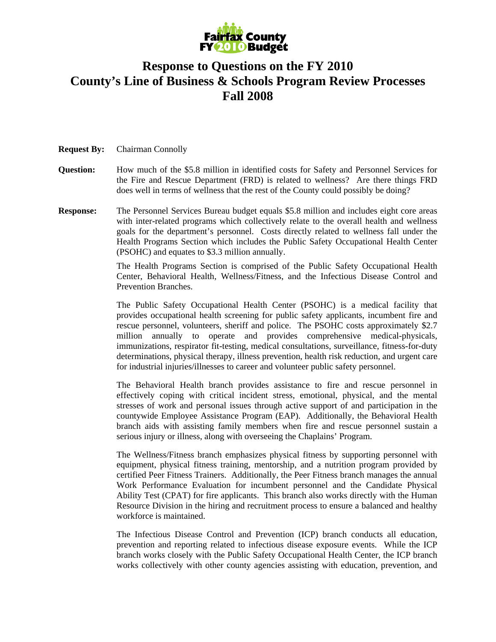

## **Response to Questions on the FY 2010 County's Line of Business & Schools Program Review Processes Fall 2008**

## **Request By:** Chairman Connolly

- **Question:** How much of the \$5.8 million in identified costs for Safety and Personnel Services for the Fire and Rescue Department (FRD) is related to wellness? Are there things FRD does well in terms of wellness that the rest of the County could possibly be doing?
- **Response:** The Personnel Services Bureau budget equals \$5.8 million and includes eight core areas with inter-related programs which collectively relate to the overall health and wellness goals for the department's personnel. Costs directly related to wellness fall under the Health Programs Section which includes the Public Safety Occupational Health Center (PSOHC) and equates to \$3.3 million annually.

The Health Programs Section is comprised of the Public Safety Occupational Health Center, Behavioral Health, Wellness/Fitness, and the Infectious Disease Control and Prevention Branches.

The Public Safety Occupational Health Center (PSOHC) is a medical facility that provides occupational health screening for public safety applicants, incumbent fire and rescue personnel, volunteers, sheriff and police. The PSOHC costs approximately \$2.7 million annually to operate and provides comprehensive medical-physicals, immunizations, respirator fit-testing, medical consultations, surveillance, fitness-for-duty determinations, physical therapy, illness prevention, health risk reduction, and urgent care for industrial injuries/illnesses to career and volunteer public safety personnel.

The Behavioral Health branch provides assistance to fire and rescue personnel in effectively coping with critical incident stress, emotional, physical, and the mental stresses of work and personal issues through active support of and participation in the countywide Employee Assistance Program (EAP). Additionally, the Behavioral Health branch aids with assisting family members when fire and rescue personnel sustain a serious injury or illness, along with overseeing the Chaplains' Program.

The Wellness/Fitness branch emphasizes physical fitness by supporting personnel with equipment, physical fitness training, mentorship, and a nutrition program provided by certified Peer Fitness Trainers. Additionally, the Peer Fitness branch manages the annual Work Performance Evaluation for incumbent personnel and the Candidate Physical Ability Test (CPAT) for fire applicants. This branch also works directly with the Human Resource Division in the hiring and recruitment process to ensure a balanced and healthy workforce is maintained.

The Infectious Disease Control and Prevention (ICP) branch conducts all education, prevention and reporting related to infectious disease exposure events. While the ICP branch works closely with the Public Safety Occupational Health Center, the ICP branch works collectively with other county agencies assisting with education, prevention, and